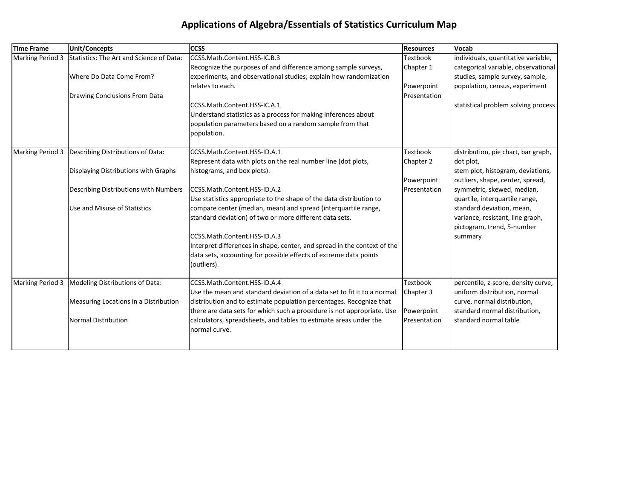## **Applications of Algebra/Essentials of Statistics Curriculum Map**

| <b>Time Frame</b> | <b>Unit/Concepts</b>                     | <b>CCSS</b>                                                              | <b>Resources</b> | <b>Vocab</b>                        |
|-------------------|------------------------------------------|--------------------------------------------------------------------------|------------------|-------------------------------------|
| Marking Period 3  | Statistics: The Art and Science of Data: | CCSS.Math.Content.HSS-IC.B.3                                             | <b>Textbook</b>  | individuals, quantitative variable, |
|                   |                                          | Recognize the purposes of and difference among sample surveys,           | Chapter 1        | categorical variable, observational |
|                   | Where Do Data Come From?                 | experiments, and observational studies; explain how randomization        |                  | studies, sample survey, sample,     |
|                   |                                          | relates to each.                                                         | Powerpoint       | population, census, experiment      |
|                   | Drawing Conclusions From Data            |                                                                          | Presentation     |                                     |
|                   |                                          | CCSS.Math.Content.HSS-IC.A.1                                             |                  | statistical problem solving process |
|                   |                                          | Understand statistics as a process for making inferences about           |                  |                                     |
|                   |                                          | population parameters based on a random sample from that                 |                  |                                     |
|                   |                                          | population.                                                              |                  |                                     |
| Marking Period 3  | Describing Distributions of Data:        | CCSS.Math.Content.HSS-ID.A.1                                             | <b>Textbook</b>  | distribution, pie chart, bar graph, |
|                   |                                          | Represent data with plots on the real number line (dot plots,            | Chapter 2        | dot plot,                           |
|                   | Displaying Distributions with Graphs     | histograms, and box plots).                                              |                  | stem plot, histogram, deviations,   |
|                   |                                          |                                                                          | Powerpoint       | outliers, shape, center, spread,    |
|                   | Describing Distributions with Numbers    | CCSS.Math.Content.HSS-ID.A.2                                             | Presentation     | symmetric, skewed, median,          |
|                   |                                          | Use statistics appropriate to the shape of the data distribution to      |                  | quartile, interquartile range,      |
|                   | Use and Misuse of Statistics             | compare center (median, mean) and spread (interquartile range,           |                  | standard deviation, mean,           |
|                   |                                          | standard deviation) of two or more different data sets.                  |                  | variance, resistant, line graph,    |
|                   |                                          |                                                                          |                  | pictogram, trend, 5-number          |
|                   |                                          | CCSS.Math.Content.HSS-ID.A.3                                             |                  | summary                             |
|                   |                                          | Interpret differences in shape, center, and spread in the context of the |                  |                                     |
|                   |                                          | data sets, accounting for possible effects of extreme data points        |                  |                                     |
|                   |                                          | (outliers).                                                              |                  |                                     |
| Marking Period 3  | Modeling Distributions of Data:          | CCSS.Math.Content.HSS-ID.A.4                                             | <b>Textbook</b>  | percentile, z-score, density curve, |
|                   |                                          | Use the mean and standard deviation of a data set to fit it to a normal  | Chapter 3        | uniform distribution, normal        |
|                   | Measuring Locations in a Distribution    | distribution and to estimate population percentages. Recognize that      |                  | curve, normal distribution,         |
|                   |                                          | there are data sets for which such a procedure is not appropriate. Use   | Powerpoint       | standard normal distribution,       |
|                   | <b>Normal Distribution</b>               | calculators, spreadsheets, and tables to estimate areas under the        | Presentation     | standard normal table               |
|                   |                                          | normal curve.                                                            |                  |                                     |
|                   |                                          |                                                                          |                  |                                     |
|                   |                                          |                                                                          |                  |                                     |